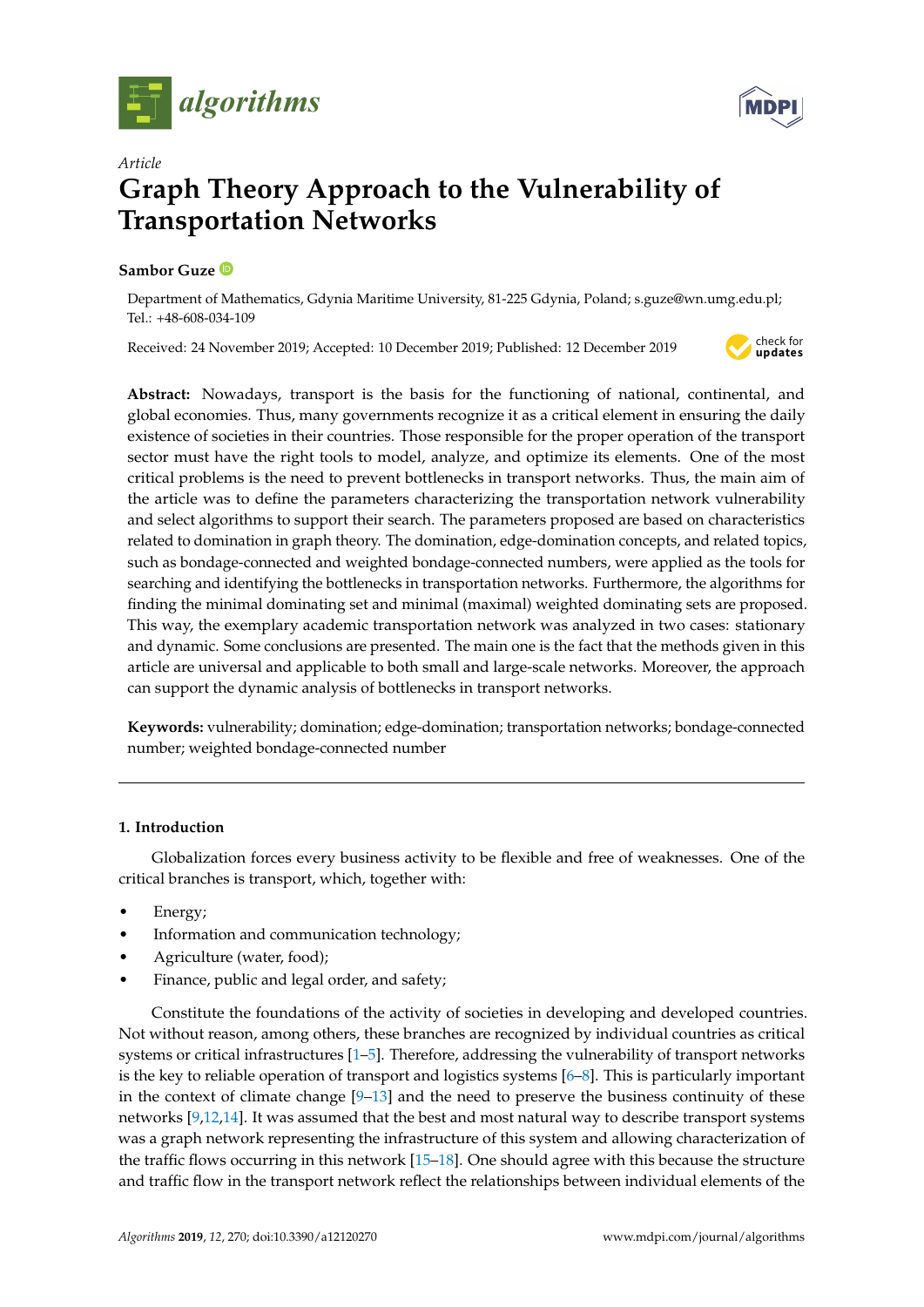



# *Article* **Graph Theory Approach to the Vulnerability of Transportation Networks**

# **Sambor Guze**

Department of Mathematics, Gdynia Maritime University, 81-225 Gdynia, Poland; s.guze@wn.umg.edu.pl; Tel.: +48-608-034-109

Received: 24 November 2019; Accepted: 10 December 2019; Published: 12 December 2019



**Abstract:** Nowadays, transport is the basis for the functioning of national, continental, and global economies. Thus, many governments recognize it as a critical element in ensuring the daily existence of societies in their countries. Those responsible for the proper operation of the transport sector must have the right tools to model, analyze, and optimize its elements. One of the most critical problems is the need to prevent bottlenecks in transport networks. Thus, the main aim of the article was to define the parameters characterizing the transportation network vulnerability and select algorithms to support their search. The parameters proposed are based on characteristics related to domination in graph theory. The domination, edge-domination concepts, and related topics, such as bondage-connected and weighted bondage-connected numbers, were applied as the tools for searching and identifying the bottlenecks in transportation networks. Furthermore, the algorithms for finding the minimal dominating set and minimal (maximal) weighted dominating sets are proposed. This way, the exemplary academic transportation network was analyzed in two cases: stationary and dynamic. Some conclusions are presented. The main one is the fact that the methods given in this article are universal and applicable to both small and large-scale networks. Moreover, the approach can support the dynamic analysis of bottlenecks in transport networks.

**Keywords:** vulnerability; domination; edge-domination; transportation networks; bondage-connected number; weighted bondage-connected number

# **1. Introduction**

Globalization forces every business activity to be flexible and free of weaknesses. One of the critical branches is transport, which, together with:

- Energy;
- Information and communication technology;
- Agriculture (water, food);
- Finance, public and legal order, and safety;

Constitute the foundations of the activity of societies in developing and developed countries. Not without reason, among others, these branches are recognized by individual countries as critical systems or critical infrastructures [\[1](#page-9-0)[–5\]](#page-9-1). Therefore, addressing the vulnerability of transport networks is the key to reliable operation of transport and logistics systems [\[6](#page-9-2)[–8\]](#page-9-3). This is particularly important in the context of climate change  $[9-13]$  $[9-13]$  and the need to preserve the business continuity of these networks [\[9](#page-9-4)[,12,](#page-10-1)[14\]](#page-10-2). It was assumed that the best and most natural way to describe transport systems was a graph network representing the infrastructure of this system and allowing characterization of the traffic flows occurring in this network [\[15](#page-10-3)[–18\]](#page-10-4). One should agree with this because the structure and traffic flow in the transport network reflect the relationships between individual elements of the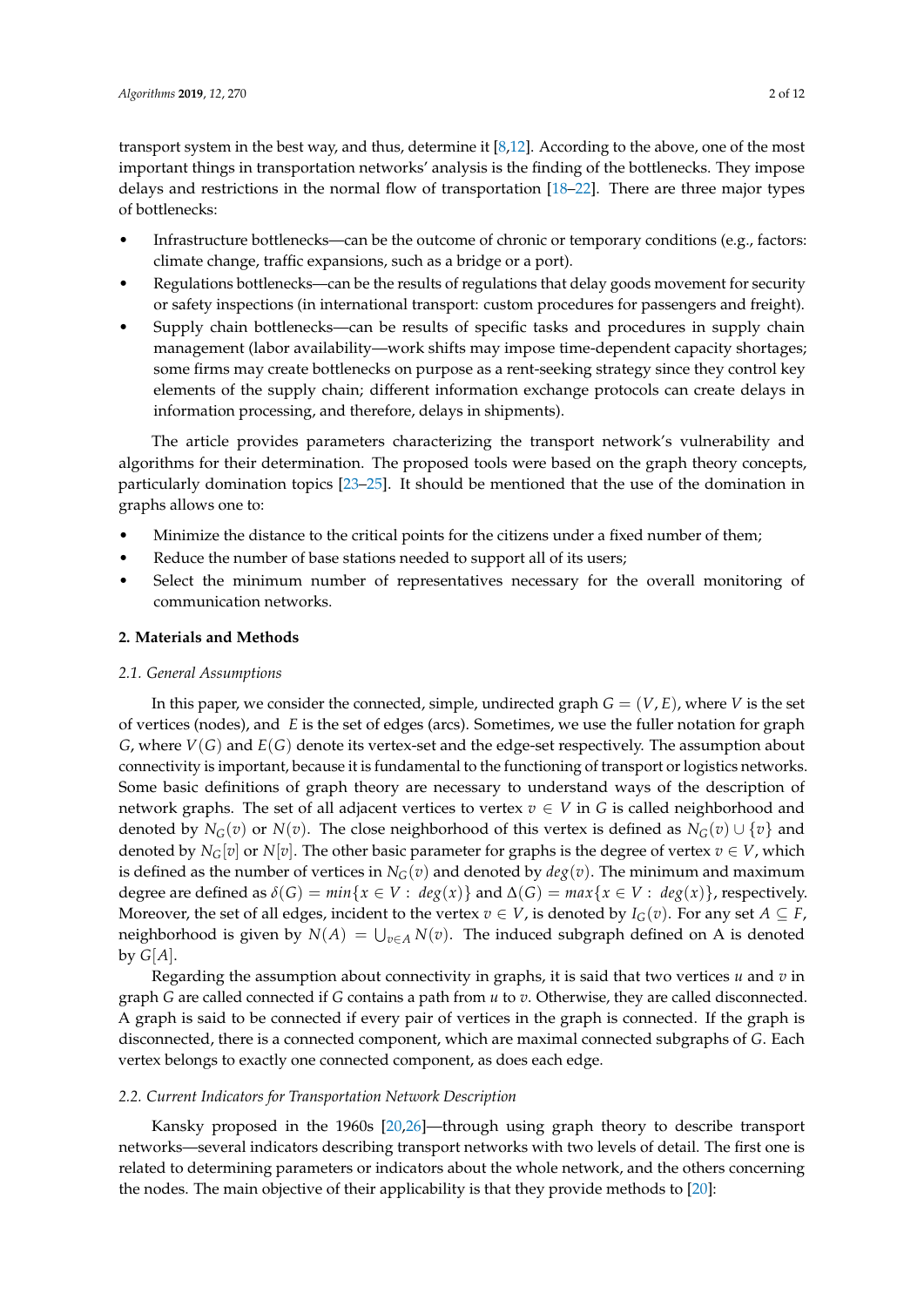transport system in the best way, and thus, determine it [\[8,](#page-9-3)[12\]](#page-10-1). According to the above, one of the most important things in transportation networks' analysis is the finding of the bottlenecks. They impose delays and restrictions in the normal flow of transportation [\[18–](#page-10-4)[22\]](#page-10-5). There are three major types of bottlenecks:

- Infrastructure bottlenecks—can be the outcome of chronic or temporary conditions (e.g., factors: climate change, traffic expansions, such as a bridge or a port).
- Regulations bottlenecks—can be the results of regulations that delay goods movement for security or safety inspections (in international transport: custom procedures for passengers and freight).
- Supply chain bottlenecks—can be results of specific tasks and procedures in supply chain management (labor availability—work shifts may impose time-dependent capacity shortages; some firms may create bottlenecks on purpose as a rent-seeking strategy since they control key elements of the supply chain; different information exchange protocols can create delays in information processing, and therefore, delays in shipments).

The article provides parameters characterizing the transport network's vulnerability and algorithms for their determination. The proposed tools were based on the graph theory concepts, particularly domination topics [\[23](#page-10-6)[–25\]](#page-10-7). It should be mentioned that the use of the domination in graphs allows one to:

- Minimize the distance to the critical points for the citizens under a fixed number of them;
- Reduce the number of base stations needed to support all of its users;
- Select the minimum number of representatives necessary for the overall monitoring of communication networks.

# **2. Materials and Methods**

#### *2.1. General Assumptions*

In this paper, we consider the connected, simple, undirected graph  $G = (V, E)$ , where *V* is the set of vertices (nodes), and *E* is the set of edges (arcs). Sometimes, we use the fuller notation for graph *G*, where *V*(*G*) and *E*(*G*) denote its vertex-set and the edge-set respectively. The assumption about connectivity is important, because it is fundamental to the functioning of transport or logistics networks. Some basic definitions of graph theory are necessary to understand ways of the description of network graphs. The set of all adjacent vertices to vertex  $v \in V$  in *G* is called neighborhood and denoted by  $N_G(v)$  or  $N(v)$ . The close neighborhood of this vertex is defined as  $N_G(v) \cup \{v\}$  and denoted by  $N_G[v]$  or  $N[v]$ . The other basic parameter for graphs is the degree of vertex  $v \in V$ , which is defined as the number of vertices in  $N_G(v)$  and denoted by  $deg(v)$ . The minimum and maximum degree are defined as  $\delta(G) = min\{x \in V : deg(x)\}\$  and  $\Delta(G) = max\{x \in V : deg(x)\}\$ , respectively. Moreover, the set of all edges, incident to the vertex  $v \in V$ , is denoted by  $I_G(v)$ . For any set  $A \subseteq F$ , neighborhood is given by  $N(A) = \bigcup_{v \in A} N(v)$ . The induced subgraph defined on A is denoted by  $G[A]$ .

Regarding the assumption about connectivity in graphs, it is said that two vertices *u* and *v* in graph *G* are called connected if *G* contains a path from *u* to *v*. Otherwise, they are called disconnected. A graph is said to be connected if every pair of vertices in the graph is connected. If the graph is disconnected, there is a connected component, which are maximal connected subgraphs of *G*. Each vertex belongs to exactly one connected component, as does each edge.

#### *2.2. Current Indicators for Transportation Network Description*

Kansky proposed in the 1960s [\[20,](#page-10-8)[26\]](#page-10-9)—through using graph theory to describe transport networks—several indicators describing transport networks with two levels of detail. The first one is related to determining parameters or indicators about the whole network, and the others concerning the nodes. The main objective of their applicability is that they provide methods to [\[20\]](#page-10-8):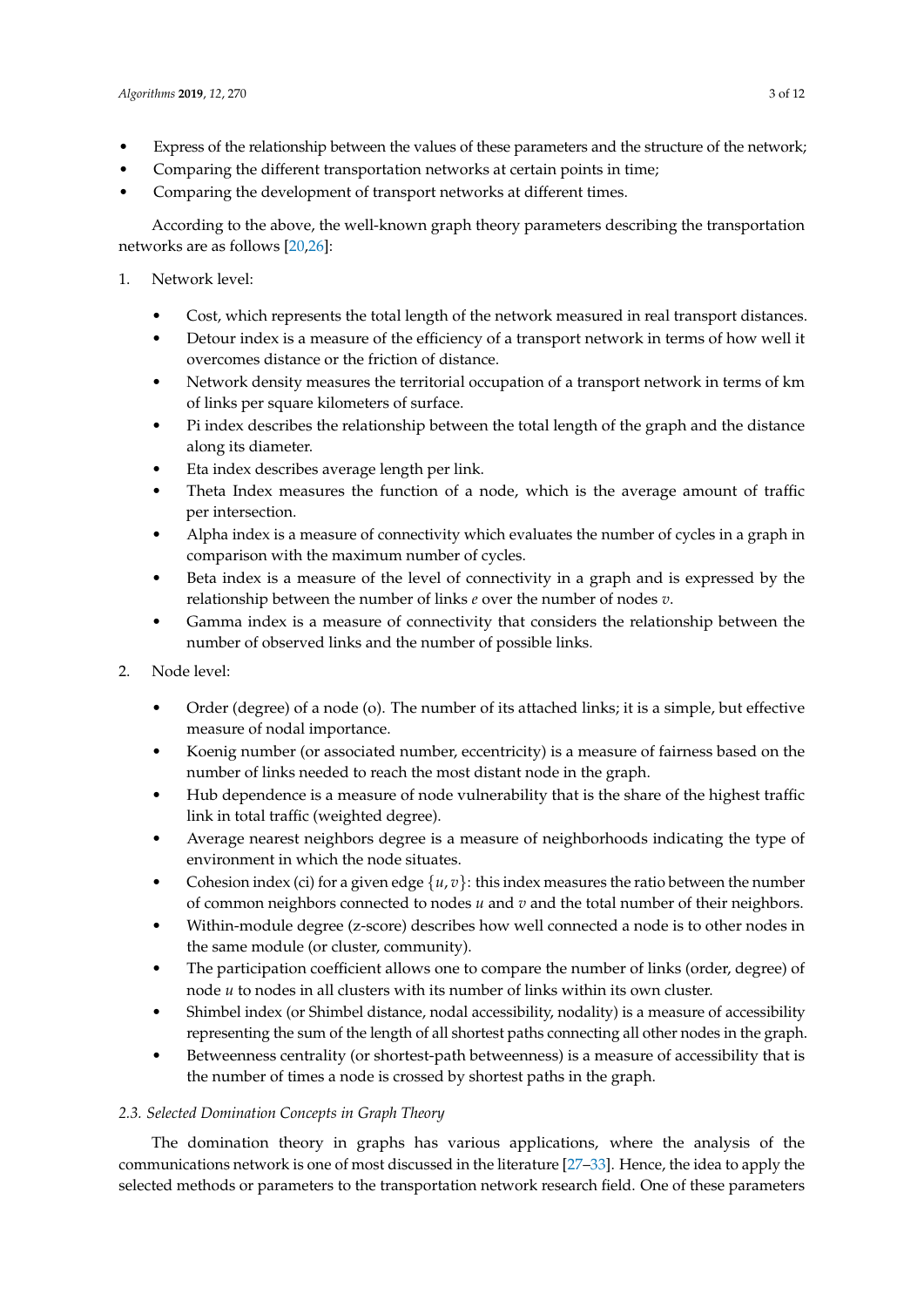- Express of the relationship between the values of these parameters and the structure of the network;
- Comparing the different transportation networks at certain points in time;
- Comparing the development of transport networks at different times.

According to the above, the well-known graph theory parameters describing the transportation networks are as follows [\[20](#page-10-8)[,26\]](#page-10-9):

- 1. Network level:
	- Cost, which represents the total length of the network measured in real transport distances.
	- Detour index is a measure of the efficiency of a transport network in terms of how well it overcomes distance or the friction of distance.
	- Network density measures the territorial occupation of a transport network in terms of km of links per square kilometers of surface.
	- Pi index describes the relationship between the total length of the graph and the distance along its diameter.
	- Eta index describes average length per link.
	- Theta Index measures the function of a node, which is the average amount of traffic per intersection.
	- Alpha index is a measure of connectivity which evaluates the number of cycles in a graph in comparison with the maximum number of cycles.
	- Beta index is a measure of the level of connectivity in a graph and is expressed by the relationship between the number of links *e* over the number of nodes *v*.
	- Gamma index is a measure of connectivity that considers the relationship between the number of observed links and the number of possible links.
- 2. Node level:
	- Order (degree) of a node (o). The number of its attached links; it is a simple, but effective measure of nodal importance.
	- Koenig number (or associated number, eccentricity) is a measure of fairness based on the number of links needed to reach the most distant node in the graph.
	- Hub dependence is a measure of node vulnerability that is the share of the highest traffic link in total traffic (weighted degree).
	- Average nearest neighbors degree is a measure of neighborhoods indicating the type of environment in which the node situates.
	- Cohesion index (ci) for a given edge  $\{u, v\}$ : this index measures the ratio between the number of common neighbors connected to nodes *u* and *v* and the total number of their neighbors.
	- Within-module degree (z-score) describes how well connected a node is to other nodes in the same module (or cluster, community).
	- The participation coefficient allows one to compare the number of links (order, degree) of node *u* to nodes in all clusters with its number of links within its own cluster.
	- Shimbel index (or Shimbel distance, nodal accessibility, nodality) is a measure of accessibility representing the sum of the length of all shortest paths connecting all other nodes in the graph.
	- Betweenness centrality (or shortest-path betweenness) is a measure of accessibility that is the number of times a node is crossed by shortest paths in the graph.

# *2.3. Selected Domination Concepts in Graph Theory*

The domination theory in graphs has various applications, where the analysis of the communications network is one of most discussed in the literature [\[27–](#page-10-10)[33\]](#page-10-11). Hence, the idea to apply the selected methods or parameters to the transportation network research field. One of these parameters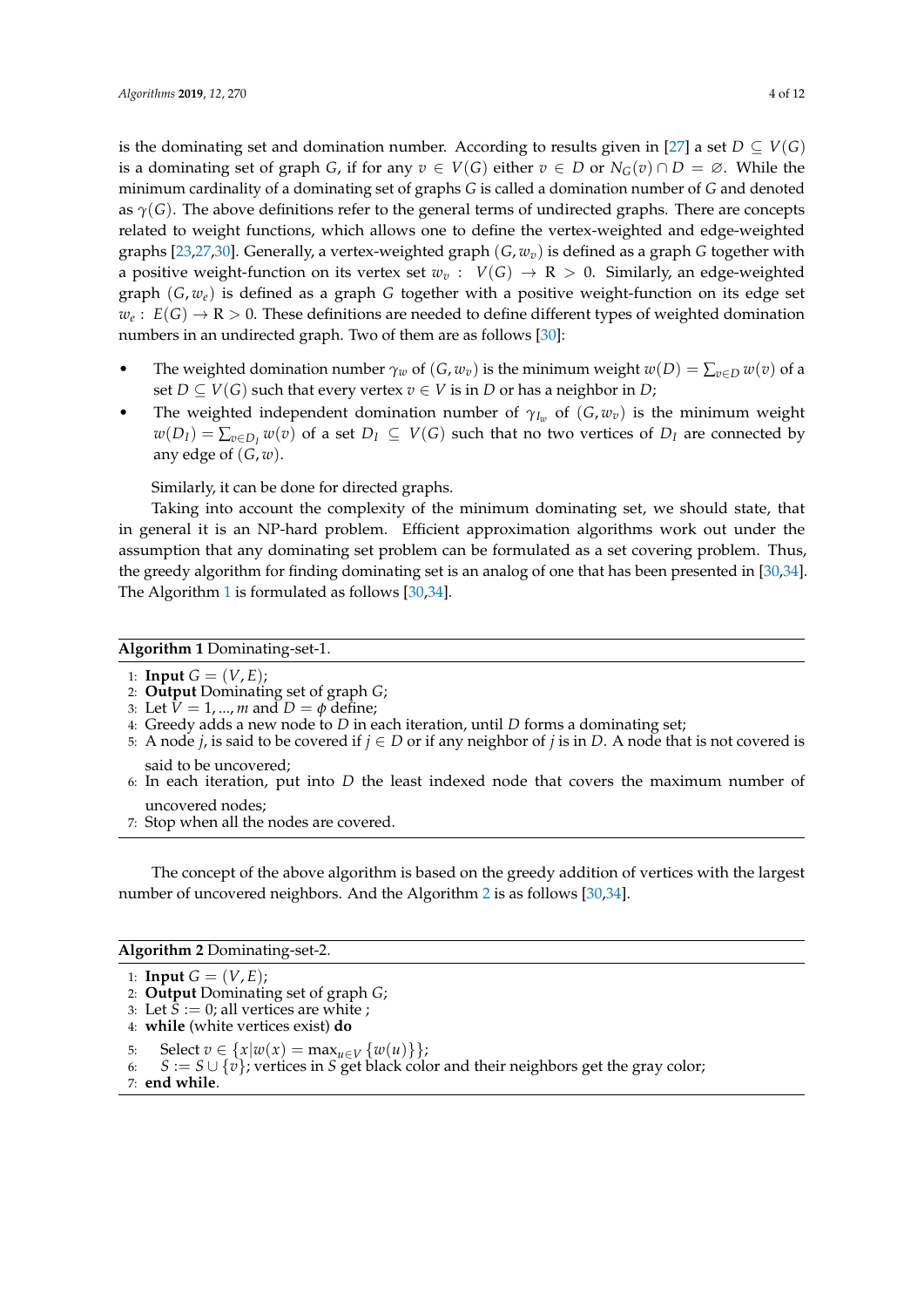is the dominating set and domination number. According to results given in [\[27\]](#page-10-10) a set  $D \subseteq V(G)$ is a dominating set of graph *G*, if for any  $v \in V(G)$  either  $v \in D$  or  $N_G(v) \cap D = \emptyset$ . While the minimum cardinality of a dominating set of graphs *G* is called a domination number of *G* and denoted as  $\gamma(G)$ . The above definitions refer to the general terms of undirected graphs. There are concepts related to weight functions, which allows one to define the vertex-weighted and edge-weighted graphs [\[23](#page-10-6)[,27](#page-10-10)[,30\]](#page-10-12). Generally, a vertex-weighted graph (*G*, *wv*) is defined as a graph *G* together with a positive weight-function on its vertex set  $w_v$ :  $V(G) \rightarrow R > 0$ . Similarly, an edge-weighted graph (*G*, *we*) is defined as a graph *G* together with a positive weight-function on its edge set  $w_e:\ E(G)\to {\rm R}>0.$  These definitions are needed to define different types of weighted domination numbers in an undirected graph. Two of them are as follows [\[30\]](#page-10-12):

- The weighted domination number  $\gamma_w$  of  $(G, w_v)$  is the minimum weight  $w(D) = \sum_{v \in D} w(v)$  of a set *D*  $\subseteq$  *V*(*G*) such that every vertex *v*  $\in$  *V* is in *D* or has a neighbor in *D*;
- The weighted independent domination number of  $\gamma_{I_w}$  of  $(G, w_v)$  is the minimum weight  $w(D_I) = \sum_{v \in D_I} w(v)$  of a set  $D_I \subseteq V(G)$  such that no two vertices of  $D_I$  are connected by any edge of  $(G, w)$ .

Similarly, it can be done for directed graphs.

Taking into account the complexity of the minimum dominating set, we should state, that in general it is an NP-hard problem. Efficient approximation algorithms work out under the assumption that any dominating set problem can be formulated as a set covering problem. Thus, the greedy algorithm for finding dominating set is an analog of one that has been presented in [\[30](#page-10-12)[,34\]](#page-10-13). The Algorithm [1](#page-3-0) is formulated as follows [\[30,](#page-10-12)[34\]](#page-10-13).

## <span id="page-3-0"></span>**Algorithm 1** Dominating-set-1.

1: **Input**  $G = (V, E)$ ;

```
2: Output Dominating set of graph G;
```
- 3: Let  $V = 1, ..., m$  and  $D = \phi$  define;
- 4: Greedy adds a new node to *D* in each iteration, until *D* forms a dominating set;
- 5: A node *j*, is said to be covered if  $j \in D$  or if any neighbor of *j* is in *D*. A node that is not covered is said to be uncovered;
- 6: In each iteration, put into *D* the least indexed node that covers the maximum number of uncovered nodes;
- 7: Stop when all the nodes are covered.

The concept of the above algorithm is based on the greedy addition of vertices with the largest number of uncovered neighbors. And the Algorithm [2](#page-3-1) is as follows [\[30,](#page-10-12)[34\]](#page-10-13).

<span id="page-3-1"></span>**Algorithm 2** Dominating-set-2.

1: **Input**  $G = (V, E)$ ;

2: **Output** Dominating set of graph *G*;

6:  $S := S \cup \{v\}$ ; vertices in *S* get black color and their neighbors get the gray color;

7: **end while**.

<sup>3:</sup> Let  $\bar{S} := 0$ ; all vertices are white ;

<sup>4:</sup> **while** (white vertices exist) **do**

<sup>5:</sup> Select  $v \in \{x | w(x) = \max_{u \in V} \{w(u)\}\};$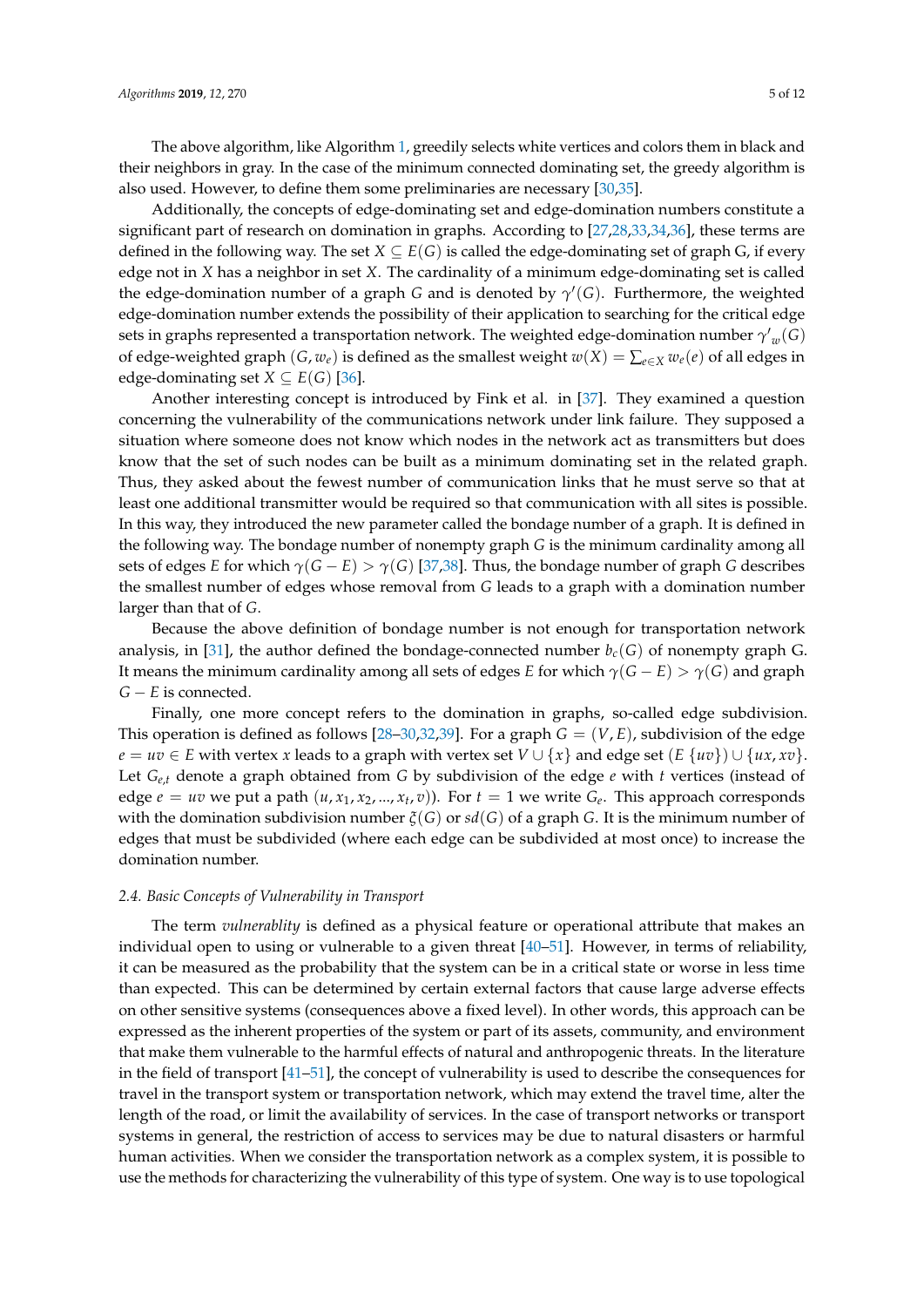The above algorithm, like Algorithm [1,](#page-3-0) greedily selects white vertices and colors them in black and their neighbors in gray. In the case of the minimum connected dominating set, the greedy algorithm is also used. However, to define them some preliminaries are necessary [\[30,](#page-10-12)[35\]](#page-10-14).

Additionally, the concepts of edge-dominating set and edge-domination numbers constitute a significant part of research on domination in graphs. According to [\[27,](#page-10-10)[28,](#page-10-15)[33,](#page-10-11)[34,](#page-10-13)[36\]](#page-11-0), these terms are defined in the following way. The set  $X \subseteq E(G)$  is called the edge-dominating set of graph G, if every edge not in *X* has a neighbor in set *X*. The cardinality of a minimum edge-dominating set is called the edge-domination number of a graph *G* and is denoted by  $\gamma'(G)$ . Furthermore, the weighted edge-domination number extends the possibility of their application to searching for the critical edge sets in graphs represented a transportation network. The weighted edge-domination number  ${\gamma'}_w(G)$ of edge-weighted graph  $(G, w_e)$  is defined as the smallest weight  $w(X) = \sum_{e \in X} w_e(e)$  of all edges in edge-dominating set  $X \subseteq E(G)$  [\[36\]](#page-11-0).

Another interesting concept is introduced by Fink et al. in [\[37\]](#page-11-1). They examined a question concerning the vulnerability of the communications network under link failure. They supposed a situation where someone does not know which nodes in the network act as transmitters but does know that the set of such nodes can be built as a minimum dominating set in the related graph. Thus, they asked about the fewest number of communication links that he must serve so that at least one additional transmitter would be required so that communication with all sites is possible. In this way, they introduced the new parameter called the bondage number of a graph. It is defined in the following way. The bondage number of nonempty graph *G* is the minimum cardinality among all sets of edges *E* for which  $\gamma(G - E) > \gamma(G)$  [\[37](#page-11-1)[,38\]](#page-11-2). Thus, the bondage number of graph *G* describes the smallest number of edges whose removal from *G* leads to a graph with a domination number larger than that of *G*.

Because the above definition of bondage number is not enough for transportation network analysis, in [\[31\]](#page-10-16), the author defined the bondage-connected number  $b_c(G)$  of nonempty graph G. It means the minimum cardinality among all sets of edges *E* for which  $\gamma(G - E) > \gamma(G)$  and graph *G* − *E* is connected.

Finally, one more concept refers to the domination in graphs, so-called edge subdivision. This operation is defined as follows [\[28](#page-10-15)[–30,](#page-10-12)[32,](#page-10-17)[39\]](#page-11-3). For a graph  $G = (V, E)$ , subdivision of the edge  $e = uv \in E$  with vertex *x* leads to a graph with vertex set  $V \cup \{x\}$  and edge set  $(E \{uv\}) \cup \{ux, xv\}$ . Let *Ge*,*<sup>t</sup>* denote a graph obtained from *G* by subdivision of the edge *e* with *t* vertices (instead of edge  $e = uv$  we put a path  $(u, x_1, x_2, ..., x_t, v)$ ). For  $t = 1$  we write  $G_e$ . This approach corresponds with the domination subdivision number *ξ*(*G*) or *sd*(*G*) of a graph *G*. It is the minimum number of edges that must be subdivided (where each edge can be subdivided at most once) to increase the domination number.

## *2.4. Basic Concepts of Vulnerability in Transport*

The term *vulnerablity* is defined as a physical feature or operational attribute that makes an individual open to using or vulnerable to a given threat [\[40–](#page-11-4)[51\]](#page-11-5). However, in terms of reliability, it can be measured as the probability that the system can be in a critical state or worse in less time than expected. This can be determined by certain external factors that cause large adverse effects on other sensitive systems (consequences above a fixed level). In other words, this approach can be expressed as the inherent properties of the system or part of its assets, community, and environment that make them vulnerable to the harmful effects of natural and anthropogenic threats. In the literature in the field of transport [\[41–](#page-11-6)[51\]](#page-11-5), the concept of vulnerability is used to describe the consequences for travel in the transport system or transportation network, which may extend the travel time, alter the length of the road, or limit the availability of services. In the case of transport networks or transport systems in general, the restriction of access to services may be due to natural disasters or harmful human activities. When we consider the transportation network as a complex system, it is possible to use the methods for characterizing the vulnerability of this type of system. One way is to use topological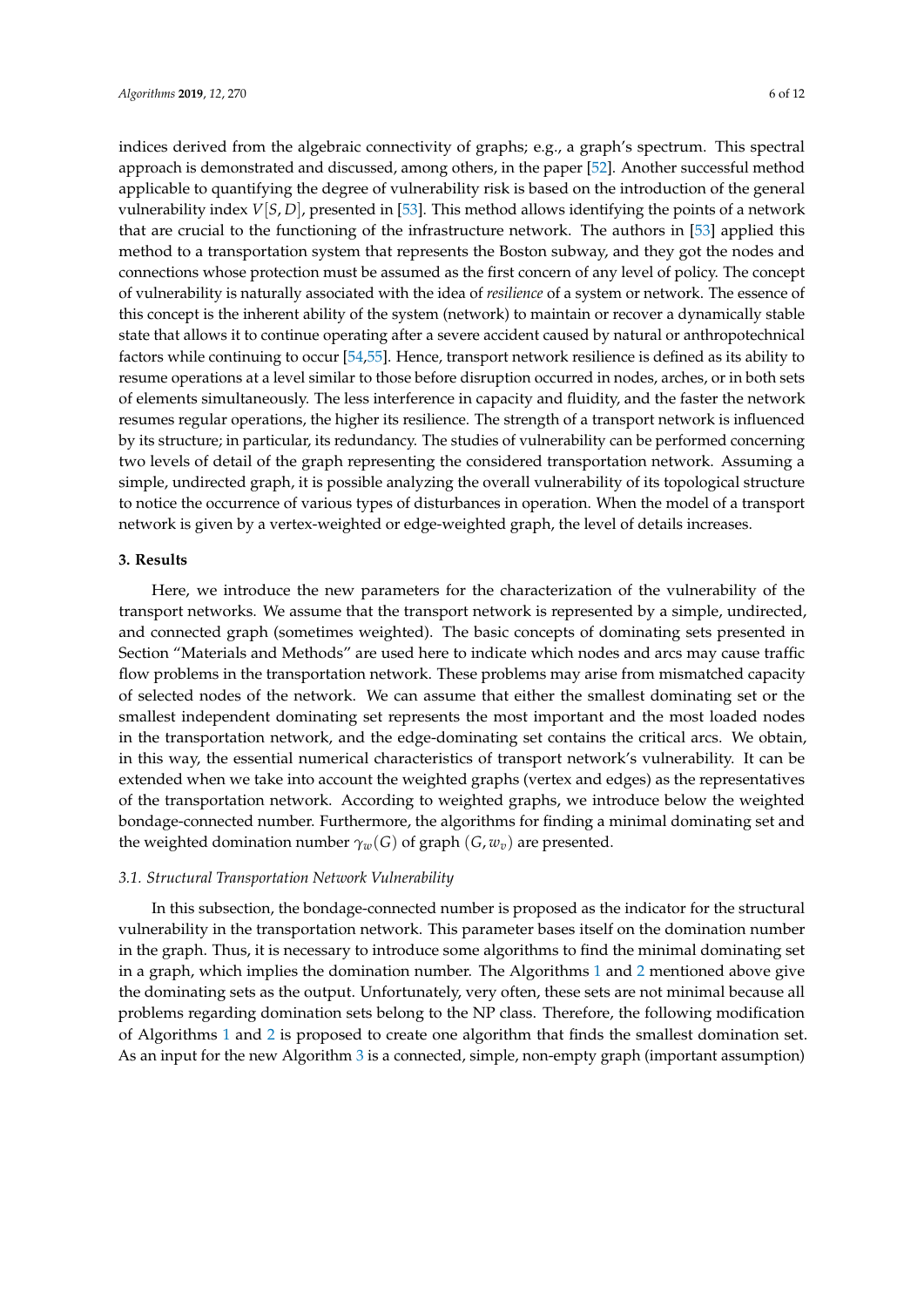indices derived from the algebraic connectivity of graphs; e.g., a graph's spectrum. This spectral approach is demonstrated and discussed, among others, in the paper [\[52\]](#page-11-7). Another successful method applicable to quantifying the degree of vulnerability risk is based on the introduction of the general vulnerability index *V*[*S*, *D*], presented in [\[53\]](#page-11-8). This method allows identifying the points of a network that are crucial to the functioning of the infrastructure network. The authors in [\[53\]](#page-11-8) applied this method to a transportation system that represents the Boston subway, and they got the nodes and connections whose protection must be assumed as the first concern of any level of policy. The concept of vulnerability is naturally associated with the idea of *resilience* of a system or network. The essence of this concept is the inherent ability of the system (network) to maintain or recover a dynamically stable state that allows it to continue operating after a severe accident caused by natural or anthropotechnical factors while continuing to occur [\[54,](#page-11-9)[55\]](#page-11-10). Hence, transport network resilience is defined as its ability to resume operations at a level similar to those before disruption occurred in nodes, arches, or in both sets of elements simultaneously. The less interference in capacity and fluidity, and the faster the network resumes regular operations, the higher its resilience. The strength of a transport network is influenced by its structure; in particular, its redundancy. The studies of vulnerability can be performed concerning two levels of detail of the graph representing the considered transportation network. Assuming a simple, undirected graph, it is possible analyzing the overall vulnerability of its topological structure to notice the occurrence of various types of disturbances in operation. When the model of a transport network is given by a vertex-weighted or edge-weighted graph, the level of details increases.

#### **3. Results**

Here, we introduce the new parameters for the characterization of the vulnerability of the transport networks. We assume that the transport network is represented by a simple, undirected, and connected graph (sometimes weighted). The basic concepts of dominating sets presented in Section "Materials and Methods" are used here to indicate which nodes and arcs may cause traffic flow problems in the transportation network. These problems may arise from mismatched capacity of selected nodes of the network. We can assume that either the smallest dominating set or the smallest independent dominating set represents the most important and the most loaded nodes in the transportation network, and the edge-dominating set contains the critical arcs. We obtain, in this way, the essential numerical characteristics of transport network's vulnerability. It can be extended when we take into account the weighted graphs (vertex and edges) as the representatives of the transportation network. According to weighted graphs, we introduce below the weighted bondage-connected number. Furthermore, the algorithms for finding a minimal dominating set and the weighted domination number  $\gamma_w(G)$  of graph  $(G, w_v)$  are presented.

#### *3.1. Structural Transportation Network Vulnerability*

In this subsection, the bondage-connected number is proposed as the indicator for the structural vulnerability in the transportation network. This parameter bases itself on the domination number in the graph. Thus, it is necessary to introduce some algorithms to find the minimal dominating set in a graph, which implies the domination number. The Algorithms [1](#page-3-0) and [2](#page-3-1) mentioned above give the dominating sets as the output. Unfortunately, very often, these sets are not minimal because all problems regarding domination sets belong to the NP class. Therefore, the following modification of Algorithms [1](#page-3-0) and [2](#page-3-1) is proposed to create one algorithm that finds the smallest domination set. As an input for the new Algorithm [3](#page-6-0) is a connected, simple, non-empty graph (important assumption)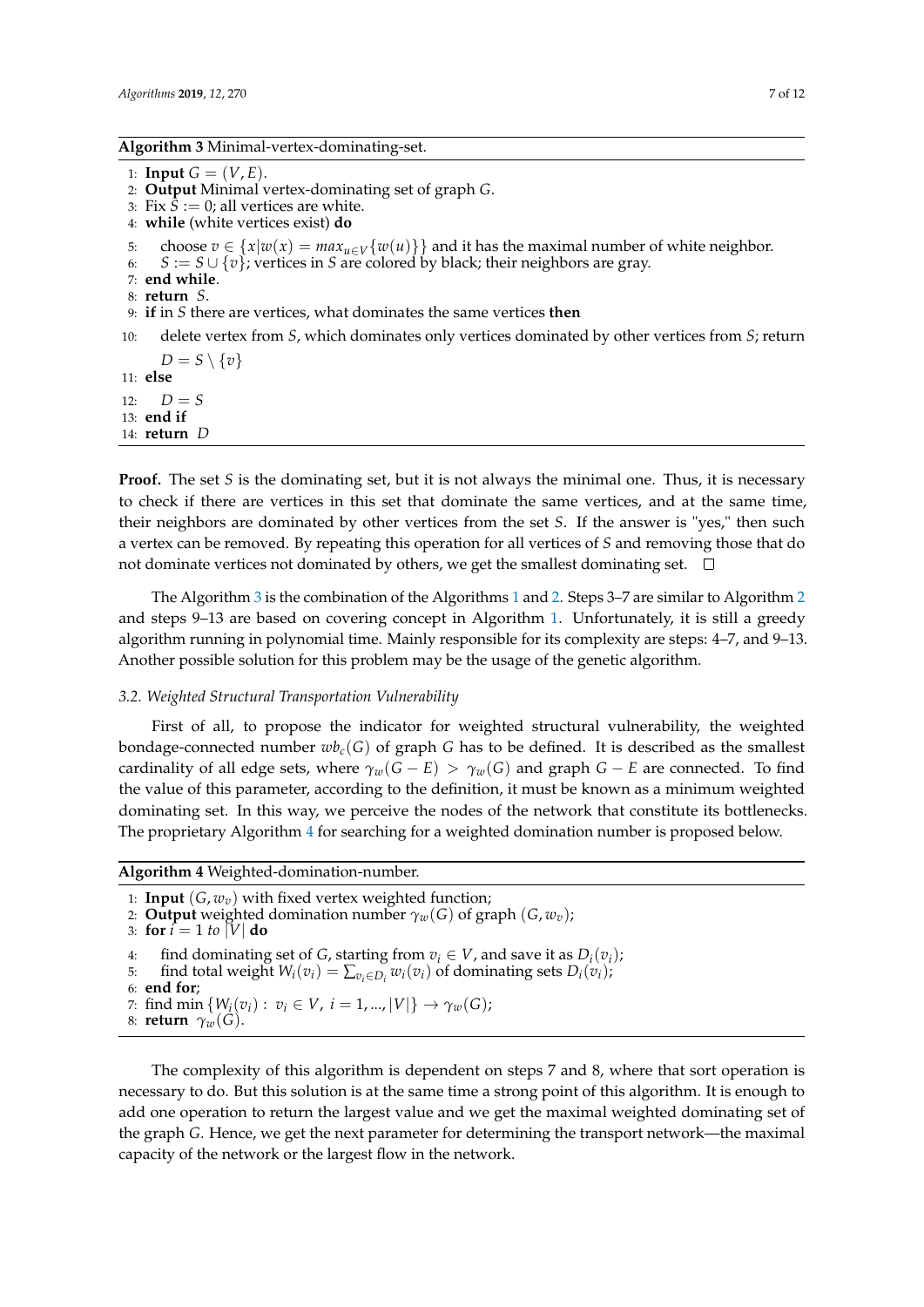#### <span id="page-6-0"></span>**Algorithm 3** Minimal-vertex-dominating-set.

```
1: Input G = (V, E).
```
- 2: **Output** Minimal vertex-dominating set of graph *G*.
- 3: Fix  $S := 0$ ; all vertices are white.
- 4: **while** (white vertices exist) **do**

5: choose *v* ∈ {*x*|*w*(*x*) =  $max_{u \in V}$ {*w*(*u*)}} and it has the maximal number of white neighbor.<br>6: *S* := *S* ∪ {*v*}: vertices in *S* are colored by black: their neighbors are gray.

- 6: *S* := *S* ∪ {*v*}; vertices in *S* are colored by black; their neighbors are gray.
- 7: **end while**.
- 8: **return** *S*.
- 9: **if** in *S* there are vertices, what dominates the same vertices **then**
- 10: delete vertex from *S*, which dominates only vertices dominated by other vertices from *S*; return  $D = S \setminus \{v\}$

11: **else** 12:  $D = S$ 13: **end if** 14: **return** *D*

**Proof.** The set *S* is the dominating set, but it is not always the minimal one. Thus, it is necessary to check if there are vertices in this set that dominate the same vertices, and at the same time, their neighbors are dominated by other vertices from the set *S*. If the answer is "yes," then such a vertex can be removed. By repeating this operation for all vertices of *S* and removing those that do not dominate vertices not dominated by others, we get the smallest dominating set.  $\Box$ 

The Algorithm [3](#page-6-0) is the combination of the Algorithms [1](#page-3-0) and [2.](#page-3-1) Steps 3–7 are similar to Algorithm [2](#page-3-1) and steps 9–13 are based on covering concept in Algorithm [1.](#page-3-0) Unfortunately, it is still a greedy algorithm running in polynomial time. Mainly responsible for its complexity are steps: 4–7, and 9–13. Another possible solution for this problem may be the usage of the genetic algorithm.

## *3.2. Weighted Structural Transportation Vulnerability*

First of all, to propose the indicator for weighted structural vulnerability, the weighted bondage-connected number  $w_{c}(G)$  of graph *G* has to be defined. It is described as the smallest cardinality of all edge sets, where  $\gamma_w(G - E) > \gamma_w(G)$  and graph  $G - E$  are connected. To find the value of this parameter, according to the definition, it must be known as a minimum weighted dominating set. In this way, we perceive the nodes of the network that constitute its bottlenecks. The proprietary Algorithm [4](#page-6-1) for searching for a weighted domination number is proposed below.

<span id="page-6-1"></span>**Algorithm 4** Weighted-domination-number.

1: **Input**  $(G, w_v)$  with fixed vertex weighted function;

- 2: **Output** weighted domination number  $\gamma_w(G)$  of graph  $(G, w_v)$ ;
- 3: **for**  $i = 1$  *to*  $|V|$  **do**

```
4: find dominating set of G, starting from v_i \in V, and save it as D_i(v_i);<br>5: find total weight W_i(v_i) = \sum_{v \in D_i} w_i(v_i) of dominating sets D_i(v_i);
```

```
5: find total weight W_i(v_i) = \sum_{v_i \in D_i} w_i(v_i) of dominating sets D_i(v_i);
```
- 6: **end for**;
- 7: find min  $\{W_i(v_i): v_i \in V, i = 1, ..., |V|\} \to \gamma_w(G);$
- 8: **return**  $\gamma_w(G)$ .

The complexity of this algorithm is dependent on steps 7 and 8, where that sort operation is necessary to do. But this solution is at the same time a strong point of this algorithm. It is enough to add one operation to return the largest value and we get the maximal weighted dominating set of the graph *G*. Hence, we get the next parameter for determining the transport network—the maximal capacity of the network or the largest flow in the network.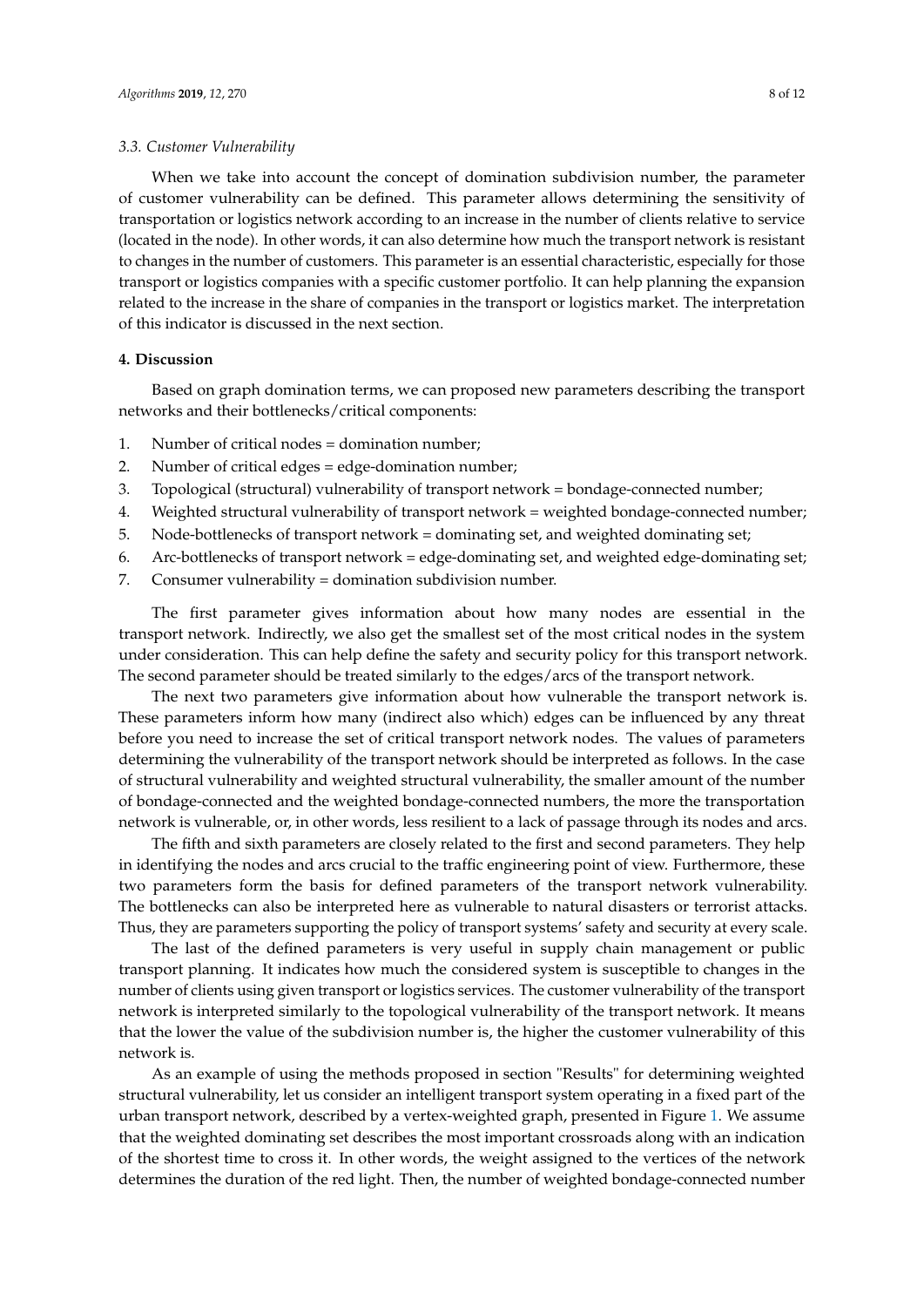#### *3.3. Customer Vulnerability*

When we take into account the concept of domination subdivision number, the parameter of customer vulnerability can be defined. This parameter allows determining the sensitivity of transportation or logistics network according to an increase in the number of clients relative to service (located in the node). In other words, it can also determine how much the transport network is resistant to changes in the number of customers. This parameter is an essential characteristic, especially for those transport or logistics companies with a specific customer portfolio. It can help planning the expansion related to the increase in the share of companies in the transport or logistics market. The interpretation of this indicator is discussed in the next section.

#### **4. Discussion**

Based on graph domination terms, we can proposed new parameters describing the transport networks and their bottlenecks/critical components:

- 1. Number of critical nodes = domination number;
- 2. Number of critical edges = edge-domination number;
- 3. Topological (structural) vulnerability of transport network = bondage-connected number;
- 4. Weighted structural vulnerability of transport network = weighted bondage-connected number;
- 5. Node-bottlenecks of transport network = dominating set, and weighted dominating set;
- 6. Arc-bottlenecks of transport network = edge-dominating set, and weighted edge-dominating set;
- 7. Consumer vulnerability = domination subdivision number.

The first parameter gives information about how many nodes are essential in the transport network. Indirectly, we also get the smallest set of the most critical nodes in the system under consideration. This can help define the safety and security policy for this transport network. The second parameter should be treated similarly to the edges/arcs of the transport network.

The next two parameters give information about how vulnerable the transport network is. These parameters inform how many (indirect also which) edges can be influenced by any threat before you need to increase the set of critical transport network nodes. The values of parameters determining the vulnerability of the transport network should be interpreted as follows. In the case of structural vulnerability and weighted structural vulnerability, the smaller amount of the number of bondage-connected and the weighted bondage-connected numbers, the more the transportation network is vulnerable, or, in other words, less resilient to a lack of passage through its nodes and arcs.

The fifth and sixth parameters are closely related to the first and second parameters. They help in identifying the nodes and arcs crucial to the traffic engineering point of view. Furthermore, these two parameters form the basis for defined parameters of the transport network vulnerability. The bottlenecks can also be interpreted here as vulnerable to natural disasters or terrorist attacks. Thus, they are parameters supporting the policy of transport systems' safety and security at every scale.

The last of the defined parameters is very useful in supply chain management or public transport planning. It indicates how much the considered system is susceptible to changes in the number of clients using given transport or logistics services. The customer vulnerability of the transport network is interpreted similarly to the topological vulnerability of the transport network. It means that the lower the value of the subdivision number is, the higher the customer vulnerability of this network is.

As an example of using the methods proposed in section "Results" for determining weighted structural vulnerability, let us consider an intelligent transport system operating in a fixed part of the urban transport network, described by a vertex-weighted graph, presented in Figure [1.](#page-8-0) We assume that the weighted dominating set describes the most important crossroads along with an indication of the shortest time to cross it. In other words, the weight assigned to the vertices of the network determines the duration of the red light. Then, the number of weighted bondage-connected number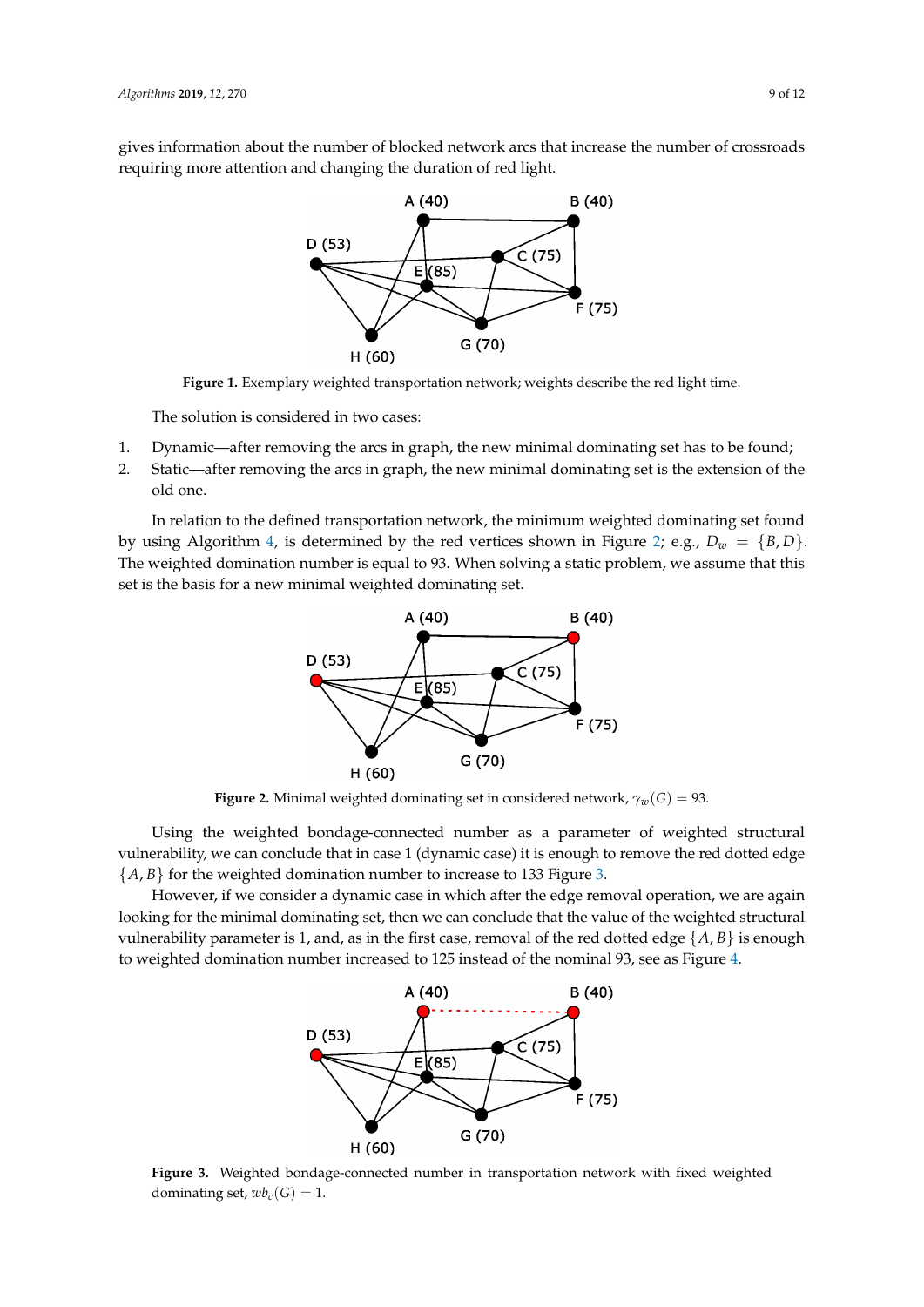<span id="page-8-0"></span>gives information about the number of blocked network arcs that increase the number of crossroads requiring more attention and changing the duration of red light.



**Figure 1.** Exemplary weighted transportation network; weights describe the red light time.

The solution is considered in two cases:

- 1. Dynamic—after removing the arcs in graph, the new minimal dominating set has to be found;
- 2. Static—after removing the arcs in graph, the new minimal dominating set is the extension of the old one.

<span id="page-8-1"></span>In relation to the defined transportation network, the minimum weighted dominating set found by using Algorithm [4,](#page-6-1) is determined by the red vertices shown in Figure [2;](#page-8-1) e.g.,  $D_w = \{B, D\}$ . The weighted domination number is equal to 93. When solving a static problem, we assume that this set is the basis for a new minimal weighted dominating set.



**Figure 2.** Minimal weighted dominating set in considered network,  $\gamma_w(G) = 93$ .

Using the weighted bondage-connected number as a parameter of weighted structural vulnerability, we can conclude that in case 1 (dynamic case) it is enough to remove the red dotted edge  ${A, B}$  for the weighted domination number to increase to 133 Figure [3.](#page-8-2)

<span id="page-8-2"></span>However, if we consider a dynamic case in which after the edge removal operation, we are again looking for the minimal dominating set, then we can conclude that the value of the weighted structural vulnerability parameter is 1, and, as in the first case, removal of the red dotted edge  $\{A, B\}$  is enough to weighted domination number increased to 125 instead of the nominal 93, see as Figure [4.](#page-9-5)



**Figure 3.** Weighted bondage-connected number in transportation network with fixed weighted dominating set,  $w_{c}(G) = 1$ .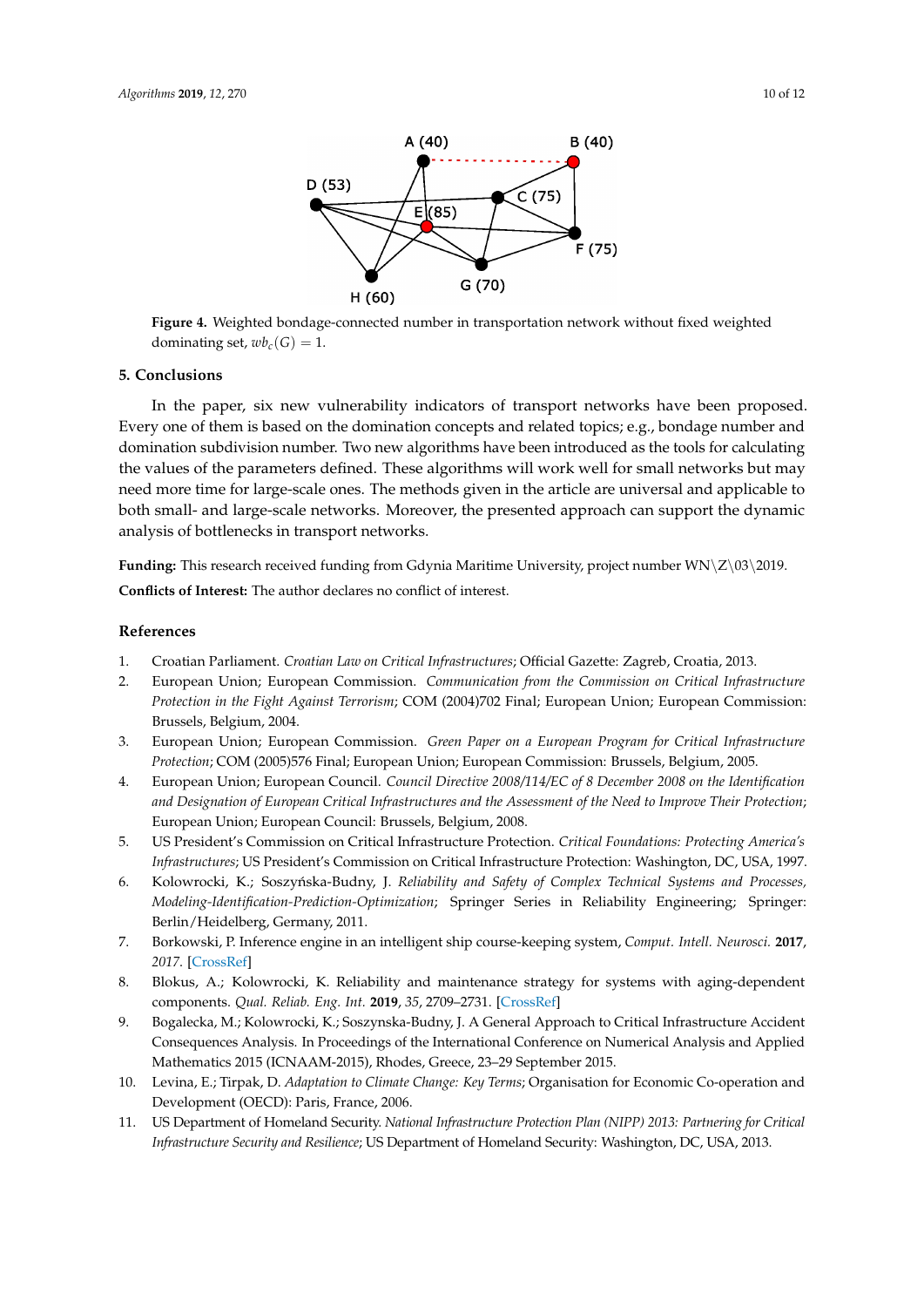<span id="page-9-5"></span>

**Figure 4.** Weighted bondage-connected number in transportation network without fixed weighted dominating set,  $wb_c(G) = 1$ .

#### **5. Conclusions**

In the paper, six new vulnerability indicators of transport networks have been proposed. Every one of them is based on the domination concepts and related topics; e.g., bondage number and domination subdivision number. Two new algorithms have been introduced as the tools for calculating the values of the parameters defined. These algorithms will work well for small networks but may need more time for large-scale ones. The methods given in the article are universal and applicable to both small- and large-scale networks. Moreover, the presented approach can support the dynamic analysis of bottlenecks in transport networks.

**Funding:** This research received funding from Gdynia Maritime University, project number WN\Z\03\2019.

**Conflicts of Interest:** The author declares no conflict of interest.

## **References**

- <span id="page-9-0"></span>1. Croatian Parliament. *Croatian Law on Critical Infrastructures*; Official Gazette: Zagreb, Croatia, 2013.
- 2. European Union; European Commission. *Communication from the Commission on Critical Infrastructure Protection in the Fight Against Terrorism*; COM (2004)702 Final; European Union; European Commission: Brussels, Belgium, 2004.
- 3. European Union; European Commission. *Green Paper on a European Program for Critical Infrastructure Protection*; COM (2005)576 Final; European Union; European Commission: Brussels, Belgium, 2005.
- 4. European Union; European Council. *Council Directive 2008/114/EC of 8 December 2008 on the Identification and Designation of European Critical Infrastructures and the Assessment of the Need to Improve Their Protection*; European Union; European Council: Brussels, Belgium, 2008.
- <span id="page-9-1"></span>5. US President's Commission on Critical Infrastructure Protection. *Critical Foundations: Protecting America's Infrastructures*; US President's Commission on Critical Infrastructure Protection: Washington, DC, USA, 1997.
- <span id="page-9-2"></span>6. Kolowrocki, K.; Soszyńska-Budny, J. *Reliability and Safety of Complex Technical Systems and Processes*, *Modeling-Identification-Prediction-Optimization*; Springer Series in Reliability Engineering; Springer: Berlin/Heidelberg, Germany, 2011.
- 7. Borkowski, P. Inference engine in an intelligent ship course-keeping system, *Comput. Intell. Neurosci.* **2017**, *2017*. [\[CrossRef\]](http://dx.doi.org/10.1155/2017/2561383)
- <span id="page-9-3"></span>8. Blokus, A.; Kolowrocki, K. Reliability and maintenance strategy for systems with aging-dependent components. *Qual. Reliab. Eng. Int.* **2019**, *35*, 2709–2731. [\[CrossRef\]](http://dx.doi.org/10.1002/qre.2552)
- <span id="page-9-4"></span>9. Bogalecka, M.; Kolowrocki, K.; Soszynska-Budny, J. A General Approach to Critical Infrastructure Accident Consequences Analysis. In Proceedings of the International Conference on Numerical Analysis and Applied Mathematics 2015 (ICNAAM-2015), Rhodes, Greece, 23–29 September 2015.
- 10. Levina, E.; Tirpak, D. *Adaptation to Climate Change: Key Terms*; Organisation for Economic Co-operation and Development (OECD): Paris, France, 2006.
- 11. US Department of Homeland Security. *National Infrastructure Protection Plan (NIPP) 2013: Partnering for Critical Infrastructure Security and Resilience*; US Department of Homeland Security: Washington, DC, USA, 2013.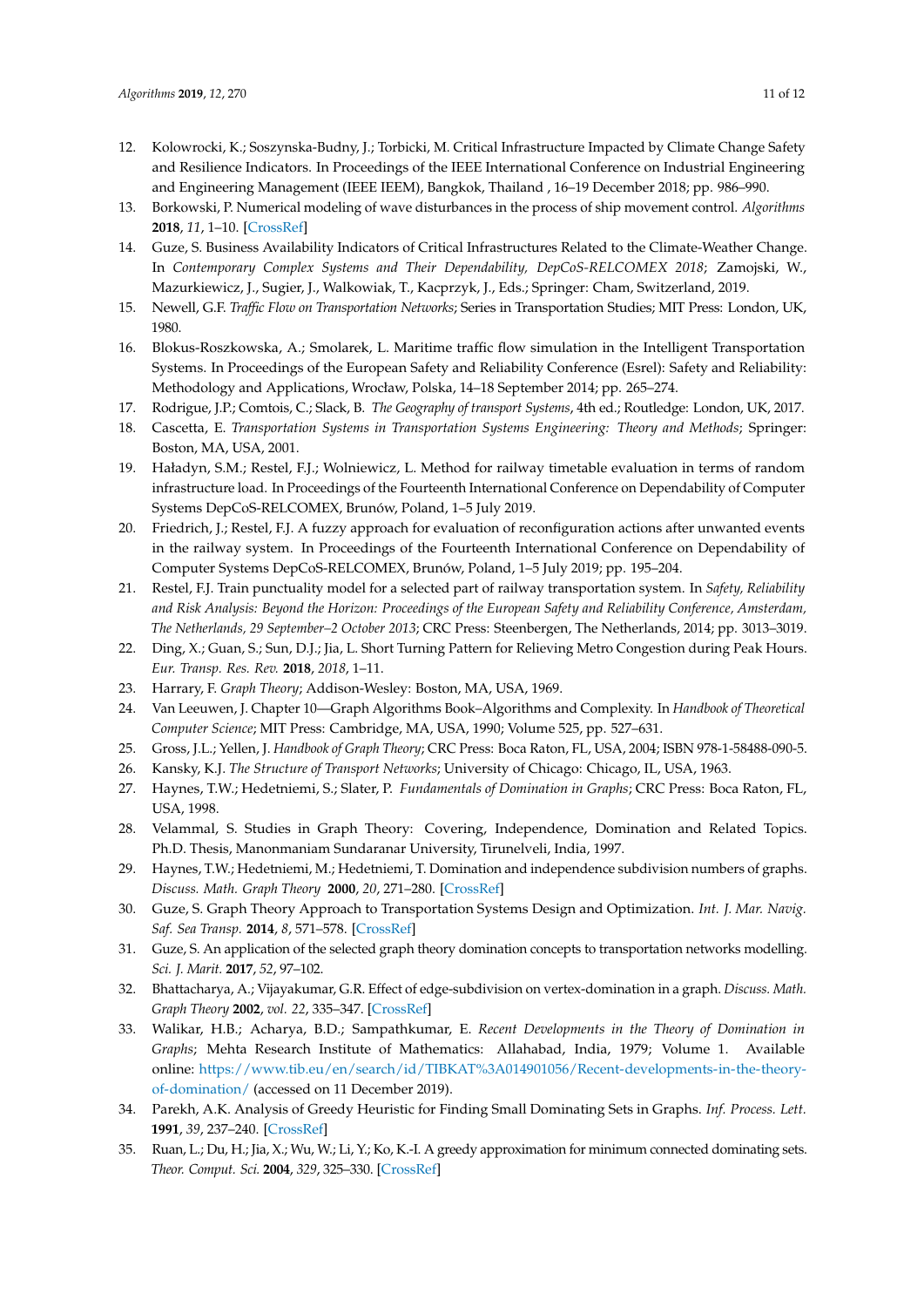- <span id="page-10-1"></span>12. Kolowrocki, K.; Soszynska-Budny, J.; Torbicki, M. Critical Infrastructure Impacted by Climate Change Safety and Resilience Indicators. In Proceedings of the IEEE International Conference on Industrial Engineering and Engineering Management (IEEE IEEM), Bangkok, Thailand , 16–19 December 2018; pp. 986–990.
- <span id="page-10-0"></span>13. Borkowski, P. Numerical modeling of wave disturbances in the process of ship movement control. *Algorithms* **2018**, *11*, 1–10. [\[CrossRef\]](http://dx.doi.org/10.3390/a11090130)
- <span id="page-10-2"></span>14. Guze, S. Business Availability Indicators of Critical Infrastructures Related to the Climate-Weather Change. In *Contemporary Complex Systems and Their Dependability, DepCoS-RELCOMEX 2018*; Zamojski, W., Mazurkiewicz, J., Sugier, J., Walkowiak, T., Kacprzyk, J., Eds.; Springer: Cham, Switzerland, 2019.
- <span id="page-10-3"></span>15. Newell, G.F. *Traffic Flow on Transportation Networks*; Series in Transportation Studies; MIT Press: London, UK, 1980.
- 16. Blokus-Roszkowska, A.; Smolarek, L. Maritime traffic flow simulation in the Intelligent Transportation Systems. In Proceedings of the European Safety and Reliability Conference (Esrel): Safety and Reliability: Methodology and Applications, Wrocław, Polska, 14–18 September 2014; pp. 265–274.
- 17. Rodrigue, J.P.; Comtois, C.; Slack, B. *The Geography of transport Systems*, 4th ed.; Routledge: London, UK, 2017.
- <span id="page-10-4"></span>18. Cascetta, E. *Transportation Systems in Transportation Systems Engineering: Theory and Methods*; Springer: Boston, MA, USA, 2001.
- 19. Haładyn, S.M.; Restel, F.J.; Wolniewicz, L. Method for railway timetable evaluation in terms of random infrastructure load. In Proceedings of the Fourteenth International Conference on Dependability of Computer Systems DepCoS-RELCOMEX, Brunów, Poland, 1–5 July 2019.
- <span id="page-10-8"></span>20. Friedrich, J.; Restel, F.J. A fuzzy approach for evaluation of reconfiguration actions after unwanted events in the railway system. In Proceedings of the Fourteenth International Conference on Dependability of Computer Systems DepCoS-RELCOMEX, Brunów, Poland, 1–5 July 2019; pp. 195–204.
- 21. Restel, F.J. Train punctuality model for a selected part of railway transportation system. In *Safety, Reliability and Risk Analysis: Beyond the Horizon: Proceedings of the European Safety and Reliability Conference, Amsterdam, The Netherlands, 29 September–2 October 2013*; CRC Press: Steenbergen, The Netherlands, 2014; pp. 3013–3019.
- <span id="page-10-5"></span>22. Ding, X.; Guan, S.; Sun, D.J.; Jia, L. Short Turning Pattern for Relieving Metro Congestion during Peak Hours. *Eur. Transp. Res. Rev.* **2018**, *2018*, 1–11.
- <span id="page-10-6"></span>23. Harrary, F. *Graph Theory*; Addison-Wesley: Boston, MA, USA, 1969.
- 24. Van Leeuwen, J. Chapter 10—Graph Algorithms Book–Algorithms and Complexity. In *Handbook of Theoretical Computer Science*; MIT Press: Cambridge, MA, USA, 1990; Volume 525, pp. 527–631.
- <span id="page-10-7"></span>25. Gross, J.L.; Yellen, J. *Handbook of Graph Theory*; CRC Press: Boca Raton, FL, USA, 2004; ISBN 978-1-58488-090-5.
- <span id="page-10-9"></span>26. Kansky, K.J. *The Structure of Transport Networks*; University of Chicago: Chicago, IL, USA, 1963.
- <span id="page-10-10"></span>27. Haynes, T.W.; Hedetniemi, S.; Slater, P. *Fundamentals of Domination in Graphs*; CRC Press: Boca Raton, FL, USA, 1998.
- <span id="page-10-15"></span>28. Velammal, S. Studies in Graph Theory: Covering, Independence, Domination and Related Topics. Ph.D. Thesis, Manonmaniam Sundaranar University, Tirunelveli, India, 1997.
- 29. Haynes, T.W.; Hedetniemi, M.; Hedetniemi, T. Domination and independence subdivision numbers of graphs. *Discuss. Math. Graph Theory* **2000**, *20*, 271–280. [\[CrossRef\]](http://dx.doi.org/10.7151/dmgt.1126)
- <span id="page-10-12"></span>30. Guze, S. Graph Theory Approach to Transportation Systems Design and Optimization. *Int. J. Mar. Navig. Saf. Sea Transp.* **2014**, *8*, 571–578. [\[CrossRef\]](http://dx.doi.org/10.12716/1001.08.04.12)
- <span id="page-10-16"></span>31. Guze, S. An application of the selected graph theory domination concepts to transportation networks modelling. *Sci. J. Marit.* **2017**, *52*, 97–102.
- <span id="page-10-17"></span>32. Bhattacharya, A.; Vijayakumar, G.R. Effect of edge-subdivision on vertex-domination in a graph. *Discuss. Math. Graph Theory* **2002**, *vol. 22*, 335–347. [\[CrossRef\]](http://dx.doi.org/10.7151/dmgt.1179)
- <span id="page-10-11"></span>33. Walikar, H.B.; Acharya, B.D.; Sampathkumar, E. *Recent Developments in the Theory of Domination in Graphs*; Mehta Research Institute of Mathematics: Allahabad, India, 1979; Volume 1. Available online: [https://www.tib.eu/en/search/id/TIBKAT%3A014901056/Recent-developments-in-the-theory](https://www.tib.eu/en/search/id/TIBKAT%3A014901056/Recent-developments-in-the-theory-of-domination/)[of-domination/](https://www.tib.eu/en/search/id/TIBKAT%3A014901056/Recent-developments-in-the-theory-of-domination/) (accessed on 11 December 2019).
- <span id="page-10-13"></span>34. Parekh, A.K. Analysis of Greedy Heuristic for Finding Small Dominating Sets in Graphs. *Inf. Process. Lett.* **1991**, *39*, 237–240. [\[CrossRef\]](http://dx.doi.org/10.1016/0020-0190(91)90021-9)
- <span id="page-10-14"></span>35. Ruan, L.; Du, H.; Jia, X.; Wu, W.; Li, Y.; Ko, K.-I. A greedy approximation for minimum connected dominating sets. *Theor. Comput. Sci.* **2004**, *329*, 325–330. [\[CrossRef\]](http://dx.doi.org/10.1016/j.tcs.2004.08.013)